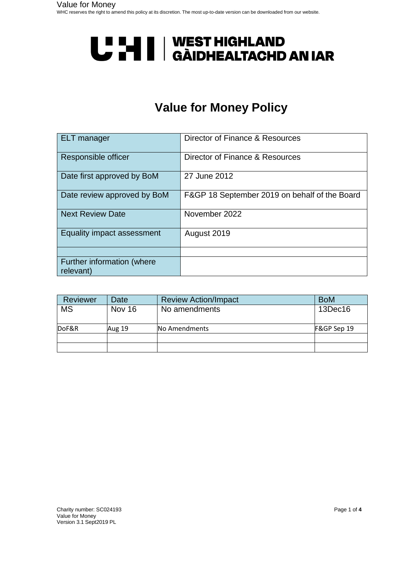# **U PANI | WEST HIGHLAND<br>U PANI | GÀIDHEALTACHD AN IAR**

## **Value for Money Policy**

| <b>ELT</b> manager                      | Director of Finance & Resources               |
|-----------------------------------------|-----------------------------------------------|
| Responsible officer                     | Director of Finance & Resources               |
| Date first approved by BoM              | 27 June 2012                                  |
| Date review approved by BoM             | F&GP 18 September 2019 on behalf of the Board |
| <b>Next Review Date</b>                 | November 2022                                 |
| Equality impact assessment              | August 2019                                   |
|                                         |                                               |
| Further information (where<br>relevant) |                                               |

| <b>Reviewer</b> | Date          | <b>Review Action/Impact</b> | <b>BoM</b>  |
|-----------------|---------------|-----------------------------|-------------|
| <b>MS</b>       | <b>Nov 16</b> | No amendments               | 13Dec16     |
|                 |               |                             |             |
| DoF&R           | Aug 19        | No Amendments               | F&GP Sep 19 |
|                 |               |                             |             |
|                 |               |                             |             |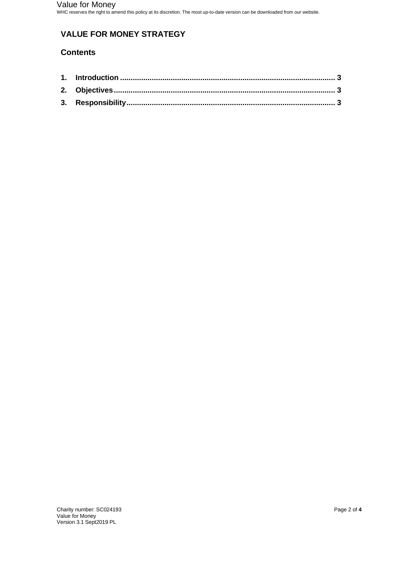## **VALUE FOR MONEY STRATEGY**

#### **Contents**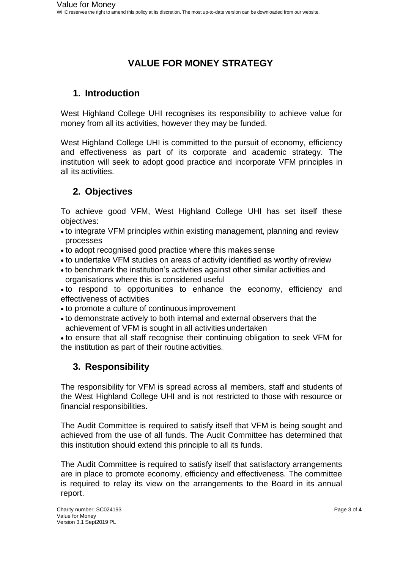## **VALUE FOR MONEY STRATEGY**

### <span id="page-2-0"></span>**1. Introduction**

West Highland College UHI recognises its responsibility to achieve value for money from all its activities, however they may be funded.

West Highland College UHI is committed to the pursuit of economy, efficiency and effectiveness as part of its corporate and academic strategy. The institution will seek to adopt good practice and incorporate VFM principles in all its activities.

#### <span id="page-2-1"></span>**2. Objectives**

To achieve good VFM, West Highland College UHI has set itself these objectives:

- to integrate VFM principles within existing management, planning and review processes
- to adopt recognised good practice where this makes sense
- to undertake VFM studies on areas of activity identified as worthy ofreview
- to benchmark the institution's activities against other similar activities and organisations where this is considered useful

• to respond to opportunities to enhance the economy, efficiency and effectiveness of activities

- to promote a culture of continuous improvement
- to demonstrate actively to both internal and external observers that the achievement of VFM is sought in all activities undertaken

• to ensure that all staff recognise their continuing obligation to seek VFM for the institution as part of their routine activities.

## <span id="page-2-2"></span>**3. Responsibility**

The responsibility for VFM is spread across all members, staff and students of the West Highland College UHI and is not restricted to those with resource or financial responsibilities.

The Audit Committee is required to satisfy itself that VFM is being sought and achieved from the use of all funds. The Audit Committee has determined that this institution should extend this principle to all its funds.

The Audit Committee is required to satisfy itself that satisfactory arrangements are in place to promote economy, efficiency and effectiveness. The committee is required to relay its view on the arrangements to the Board in its annual report.